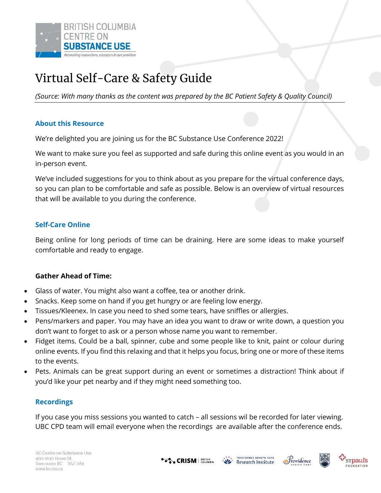

# Virtual Self-Care & Safety Guide

*(Source: With many thanks as the content was prepared by the BC Patient Safety & Quality Council)*

# **About this Resource**

We're delighted you are joining us for the BC Substance Use Conference 2022!

We want to make sure you feel as supported and safe during this online event as you would in an in-person event.

We've included suggestions for you to think about as you prepare for the virtual conference days, so you can plan to be comfortable and safe as possible. Below is an overview of virtual resources that will be available to you during the conference.

## **Self-Care Online**

Being online for long periods of time can be draining. Here are some ideas to make yourself comfortable and ready to engage.

#### **Gather Ahead of Time:**

- Glass of water. You might also want a coffee, tea or another drink.
- Snacks. Keep some on hand if you get hungry or are feeling low energy.
- Tissues/Kleenex. In case you need to shed some tears, have sniffles or allergies.
- Pens/markers and paper. You may have an idea you want to draw or write down, a question you don't want to forget to ask or a person whose name you want to remember.
- Fidget items. Could be a ball, spinner, cube and some people like to knit, paint or colour during online events. If you find this relaxing and that it helps you focus, bring one or more of these items to the events.
- Pets. Animals can be great support during an event or sometimes a distraction! Think about if you'd like your pet nearby and if they might need something too.

#### **Recordings**

If you case you miss sessions you wanted to catch – all sessions wil be recorded for later viewing. UBC CPD team will email everyone when the recordings are available after the conference ends.

**CRISM** BRITISH



PROVIDENCE HEALTH CARE

**Research Institute** 

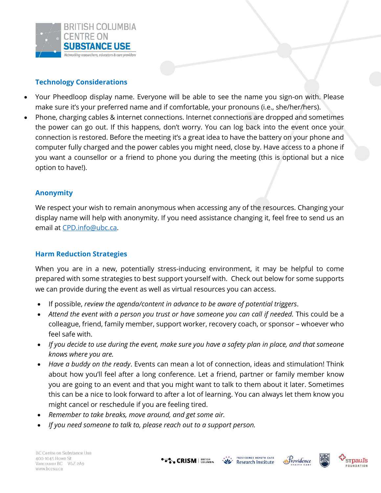

# **Technology Considerations**

- Your Pheedloop display name. Everyone will be able to see the name you sign-on with. Please make sure it's your preferred name and if comfortable, your pronouns (i.e., she/her/hers).
- Phone, charging cables & internet connections. Internet connections are dropped and sometimes the power can go out. If this happens, don't worry. You can log back into the event once your connection is restored. Before the meeting it's a great idea to have the battery on your phone and computer fully charged and the power cables you might need, close by. Have access to a phone if you want a counsellor or a friend to phone you during the meeting (this is optional but a nice option to have!).

# **Anonymity**

We respect your wish to remain anonymous when accessing any of the resources. Changing your display name will help with anonymity. If you need assistance changing it, feel free to send us an email at CPD.info@ubc.ca.

# **Harm Reduction Strategies**

When you are in a new, potentially stress-inducing environment, it may be helpful to come prepared with some strategies to best support yourself with. Check out below for some supports we can provide during the event as well as virtual resources you can access.

- If possible, *review the agenda/content in advance to be aware of potential triggers*.
- *Attend the event with a person you trust or have someone you can call if needed.* This could be a colleague, friend, family member, support worker, recovery coach, or sponsor – whoever who feel safe with.
- *If you decide to use during the event, make sure you have a safety plan in place, and that someone knows where you are.*
- *Have a buddy on the ready*. Events can mean a lot of connection, ideas and stimulation! Think about how you'll feel after a long conference. Let a friend, partner or family member know you are going to an event and that you might want to talk to them about it later. Sometimes this can be a nice to look forward to after a lot of learning. You can always let them know you might cancel or reschedule if you are feeling tired.
- *Remember to take breaks, move around, and get some air.*
- *If you need someone to talk to, please reach out to a support person.*







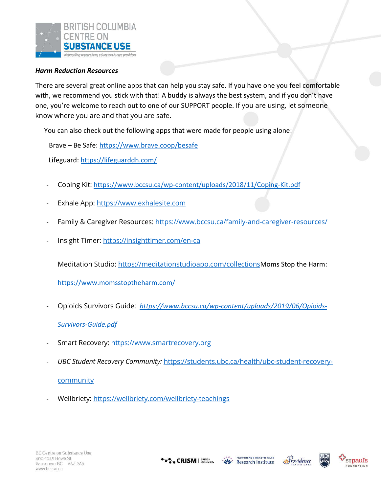

#### *Harm Reduction Resources*

There are several great online apps that can help you stay safe. If you have one you feel comfortable with, we recommend you stick with that! A buddy is always the best system, and if you don't have one, you're welcome to reach out to one of our SUPPORT people. If you are using, let someone know where you are and that you are safe.

You can also check out the following apps that were made for people using alone:

Brave – Be Safe: https://www.brave.coop/besafe

Lifeguard: https://lifeguarddh.com/

- Coping Kit: https://www.bccsu.ca/wp-content/uploads/2018/11/Coping-Kit.pdf
- Exhale App: https://www.exhalesite.com
- Family & Caregiver Resources: https://www.bccsu.ca/family-and-caregiver-resources/
- Insight Timer: https://insighttimer.com/en-ca

Meditation Studio: https://meditationstudioapp.com/collectionsMoms Stop the Harm:

https://www.momsstoptheharm.com/

- Opioids Survivors Guide: *https://www.bccsu.ca/wp-content/uploads/2019/06/Opioids-Survivors-Guide.pdf*
- Smart Recovery: https://www.smartrecovery.org
- *UBC Student Recovery Community:* https://students.ubc.ca/health/ubc-student-recovery-

community

Wellbriety: https://wellbriety.com/wellbriety-teachings

**CRISM** BRITISH



 $M_{\star}$ 



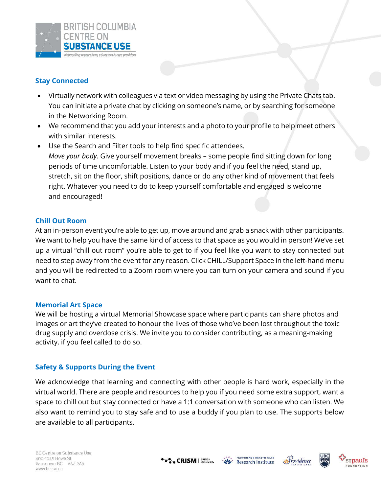

# **Stay Connected**

- Virtually network with colleagues via text or video messaging by using the Private Chats tab. You can initiate a private chat by clicking on someone's name, or by searching for someone in the Networking Room.
- We recommend that you add your interests and a photo to your profile to help meet others with similar interests.
- Use the Search and Filter tools to help find specific attendees. *Move your body.* Give yourself movement breaks – some people find sitting down for long periods of time uncomfortable. Listen to your body and if you feel the need, stand up, stretch, sit on the floor, shift positions, dance or do any other kind of movement that feels right. Whatever you need to do to keep yourself comfortable and engaged is welcome and encouraged!

## **Chill Out Room**

At an in-person event you're able to get up, move around and grab a snack with other participants. We want to help you have the same kind of access to that space as you would in person! We've set up a virtual "chill out room" you're able to get to if you feel like you want to stay connected but need to step away from the event for any reason. Click CHILL/Support Space in the left-hand menu and you will be redirected to a Zoom room where you can turn on your camera and sound if you want to chat.

#### **Memorial Art Space**

We will be hosting a virtual Memorial Showcase space where participants can share photos and images or art they've created to honour the lives of those who've been lost throughout the toxic drug supply and overdose crisis. We invite you to consider contributing, as a meaning-making activity, if you feel called to do so.

#### **Safety & Supports During the Event**

We acknowledge that learning and connecting with other people is hard work, especially in the virtual world. There are people and resources to help you if you need some extra support, want a space to chill out but stay connected or have a 1:1 conversation with someone who can listen. We also want to remind you to stay safe and to use a buddy if you plan to use. The supports below are available to all participants.